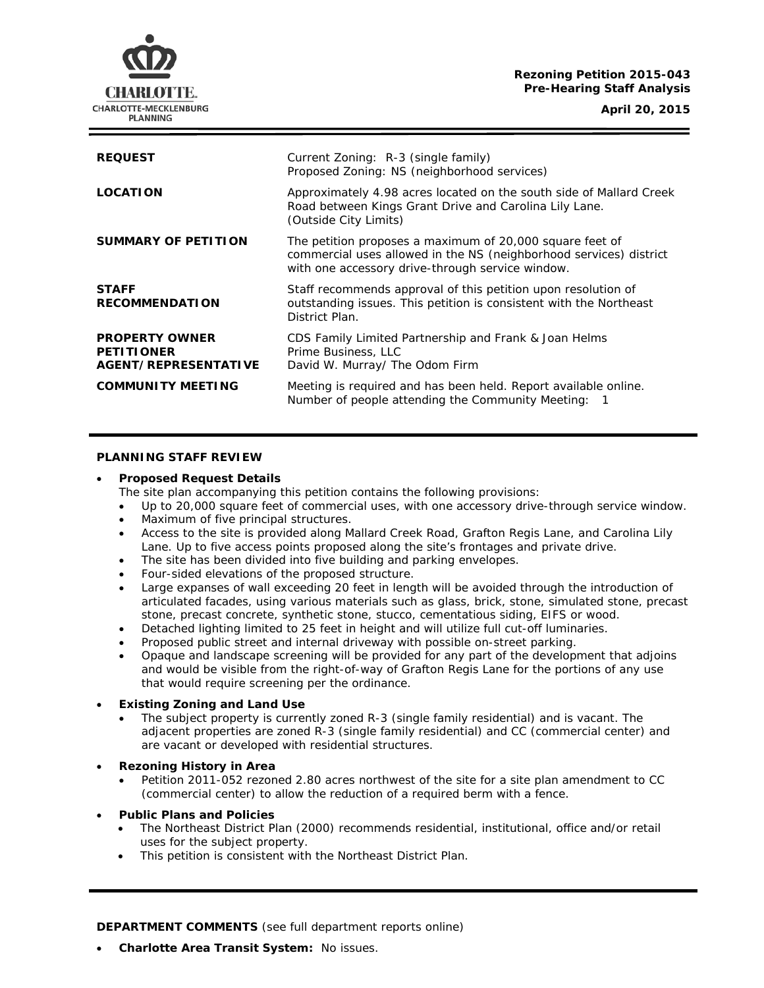# **Rezoning Petition 2015-043 Pre-Hearing Staff Analysis**

**CHARLOTTE-MECKLENBURG PLANNING** 

**April 20, 2015**

| <b>REQUEST</b>                                                     | Current Zoning: R-3 (single family)<br>Proposed Zoning: NS (neighborhood services)                                                                                                 |
|--------------------------------------------------------------------|------------------------------------------------------------------------------------------------------------------------------------------------------------------------------------|
| <b>LOCATION</b>                                                    | Approximately 4.98 acres located on the south side of Mallard Creek<br>Road between Kings Grant Drive and Carolina Lily Lane.<br>(Outside City Limits)                             |
| SUMMARY OF PETITION                                                | The petition proposes a maximum of 20,000 square feet of<br>commercial uses allowed in the NS (neighborhood services) district<br>with one accessory drive-through service window. |
| <b>STAFF</b><br><b>RECOMMENDATION</b>                              | Staff recommends approval of this petition upon resolution of<br>outstanding issues. This petition is consistent with the Northeast<br>District Plan.                              |
| <b>PROPERTY OWNER</b><br><b>PETITIONER</b><br>AGENT/REPRESENTATIVE | CDS Family Limited Partnership and Frank & Joan Helms<br>Prime Business, LLC<br>David W. Murray/ The Odom Firm                                                                     |
| <b>COMMUNITY MEETING</b>                                           | Meeting is required and has been held. Report available online.<br>Number of people attending the Community Meeting:                                                               |

# **PLANNING STAFF REVIEW**

# • **Proposed Request Details**

The site plan accompanying this petition contains the following provisions:

- Up to 20,000 square feet of commercial uses, with one accessory drive-through service window.
- Maximum of five principal structures.
- Access to the site is provided along Mallard Creek Road, Grafton Regis Lane, and Carolina Lily Lane. Up to five access points proposed along the site's frontages and private drive.
- The site has been divided into five building and parking envelopes.
- Four-sided elevations of the proposed structure.
- Large expanses of wall exceeding 20 feet in length will be avoided through the introduction of articulated facades, using various materials such as glass, brick, stone, simulated stone, precast stone, precast concrete, synthetic stone, stucco, cementatious siding, EIFS or wood.
- Detached lighting limited to 25 feet in height and will utilize full cut-off luminaries.
- Proposed public street and internal driveway with possible on-street parking.
- Opaque and landscape screening will be provided for any part of the development that adjoins and would be visible from the right-of-way of Grafton Regis Lane for the portions of any use that would require screening per the ordinance.

# • **Existing Zoning and Land Use**

- The subject property is currently zoned R-3 (single family residential) and is vacant. The adjacent properties are zoned R-3 (single family residential) and CC (commercial center) and are vacant or developed with residential structures.
- **Rezoning History in Area**
	- Petition 2011-052 rezoned 2.80 acres northwest of the site for a site plan amendment to CC (commercial center) to allow the reduction of a required berm with a fence.
- **Public Plans and Policies**
	- The *Northeast District Plan* (2000) recommends residential, institutional, office and/or retail uses for the subject property.
	- This petition is consistent with the *Northeast District Plan*.

**DEPARTMENT COMMENTS** (see full department reports online)

• **Charlotte Area Transit System:** No issues.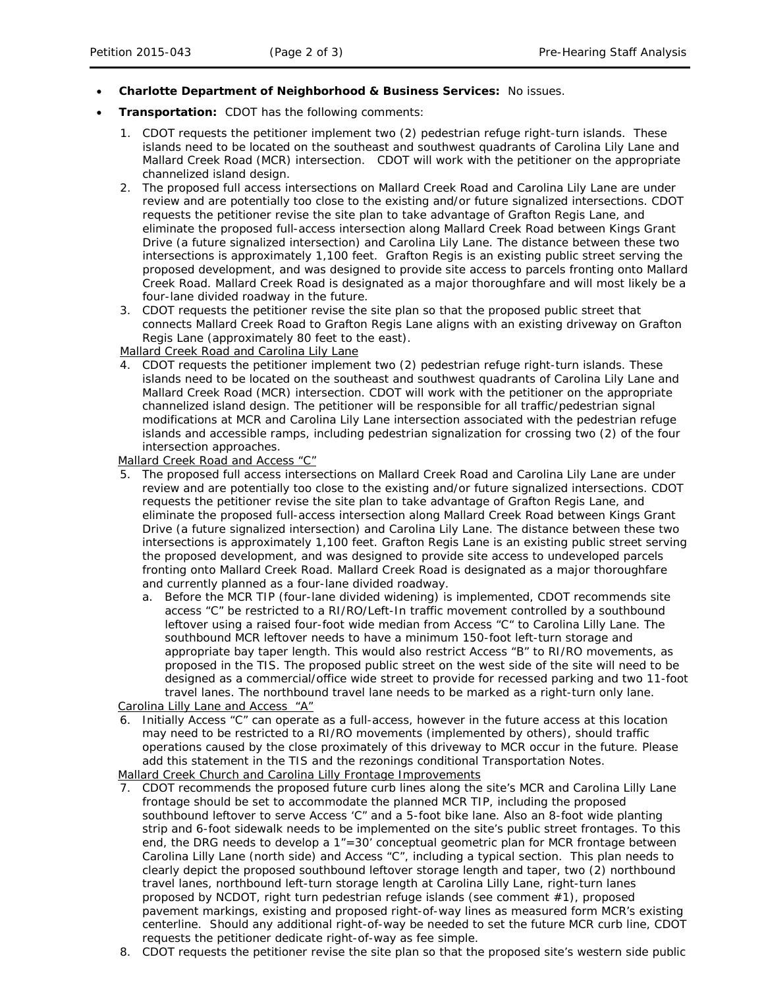- **Charlotte Department of Neighborhood & Business Services:** No issues.
- **Transportation:** CDOT has the following comments:
	- 1. CDOT requests the petitioner implement two (2) pedestrian refuge right-turn islands. These islands need to be located on the southeast and southwest quadrants of Carolina Lily Lane and Mallard Creek Road (MCR) intersection. CDOT will work with the petitioner on the appropriate channelized island design.
	- 2. The proposed full access intersections on Mallard Creek Road and Carolina Lily Lane are under review and are potentially too close to the existing and/or future signalized intersections. CDOT requests the petitioner revise the site plan to take advantage of Grafton Regis Lane, and eliminate the proposed full-access intersection along Mallard Creek Road between Kings Grant Drive (a future signalized intersection) and Carolina Lily Lane. The distance between these two intersections is approximately 1,100 feet. Grafton Regis is an existing public street serving the proposed development, and was designed to provide site access to parcels fronting onto Mallard Creek Road. Mallard Creek Road is designated as a major thoroughfare and will most likely be a four-lane divided roadway in the future.
	- 3. CDOT requests the petitioner revise the site plan so that the proposed public street that connects Mallard Creek Road to Grafton Regis Lane aligns with an existing driveway on Grafton Regis Lane (approximately 80 feet to the east).

Mallard Creek Road and Carolina Lily Lane

4. CDOT requests the petitioner implement two (2) pedestrian refuge right-turn islands. These islands need to be located on the southeast and southwest quadrants of Carolina Lily Lane and Mallard Creek Road (MCR) intersection. CDOT will work with the petitioner on the appropriate channelized island design. The petitioner will be responsible for all traffic/pedestrian signal modifications at MCR and Carolina Lily Lane intersection associated with the pedestrian refuge islands and accessible ramps, including pedestrian signalization for crossing two (2) of the four intersection approaches.

Mallard Creek Road and Access "C"

- 5. The proposed full access intersections on Mallard Creek Road and Carolina Lily Lane are under review and are potentially too close to the existing and/or future signalized intersections. CDOT requests the petitioner revise the site plan to take advantage of Grafton Regis Lane, and eliminate the proposed full-access intersection along Mallard Creek Road between Kings Grant Drive (a future signalized intersection) and Carolina Lily Lane. The distance between these two intersections is approximately 1,100 feet. Grafton Regis Lane is an existing public street serving the proposed development, and was designed to provide site access to undeveloped parcels fronting onto Mallard Creek Road. Mallard Creek Road is designated as a major thoroughfare and currently planned as a four-lane divided roadway.
	- a. Before the MCR TIP (four-lane divided widening) is implemented, CDOT recommends site access "C" be restricted to a RI/RO/Left-In traffic movement controlled by a southbound leftover using a raised four-foot wide median from Access "C" to Carolina Lilly Lane. The southbound MCR leftover needs to have a minimum 150-foot left-turn storage and appropriate bay taper length. This would also restrict Access "B" to RI/RO movements, as proposed in the TIS. The proposed public street on the west side of the site will need to be designed as a commercial/office wide street to provide for recessed parking and two 11-foot travel lanes. The northbound travel lane needs to be marked as a right-turn only lane.

Carolina Lilly Lane and Access "A"

6. Initially Access "C" can operate as a full-access, however in the future access at this location may need to be restricted to a RI/RO movements (implemented by others), should traffic operations caused by the close proximately of this driveway to MCR occur in the future. Please add this statement in the TIS and the rezonings conditional Transportation Notes. Mallard Creek Church and Carolina Lilly Frontage Improvements

- 7. CDOT recommends the proposed future curb lines along the site's MCR and Carolina Lilly Lane frontage should be set to accommodate the planned MCR TIP, including the proposed southbound leftover to serve Access 'C" and a 5-foot bike lane. Also an 8-foot wide planting strip and 6-foot sidewalk needs to be implemented on the site's public street frontages. To this end, the DRG needs to develop a  $1" = 30'$  conceptual geometric plan for MCR frontage between Carolina Lilly Lane (north side) and Access "C", including a typical section. This plan needs to clearly depict the proposed southbound leftover storage length and taper, two (2) northbound travel lanes, northbound left-turn storage length at Carolina Lilly Lane, right-turn lanes proposed by NCDOT, right turn pedestrian refuge islands (see comment #1), proposed pavement markings, existing and proposed right-of-way lines as measured form MCR's existing centerline. Should any additional right-of-way be needed to set the future MCR curb line, CDOT requests the petitioner dedicate right-of-way as fee simple.
- 8. CDOT requests the petitioner revise the site plan so that the proposed site's western side public